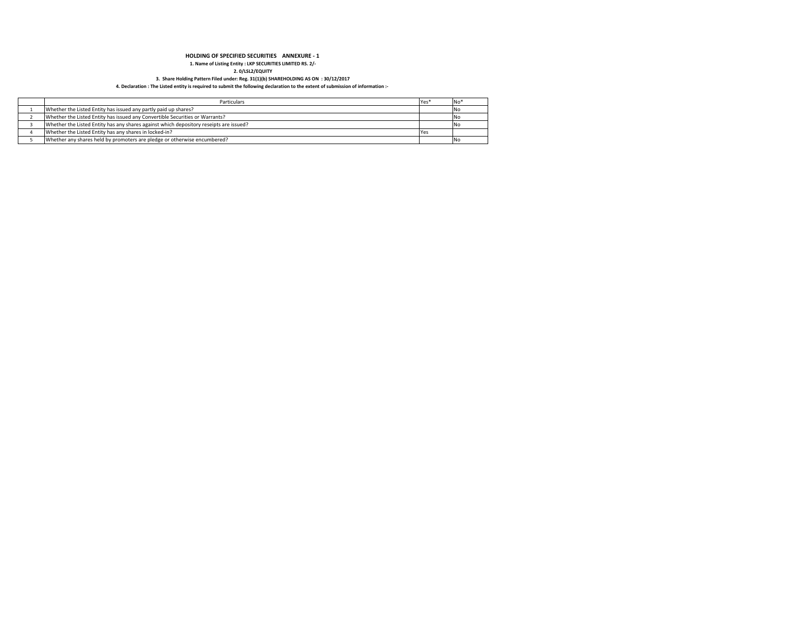### **HOLDING OF SPECIFIED SECURITIES ANNEXURE - 1**

**1. Name of Listing Entity : LKP SECURITIES LIMITED RS. 2/-**

**2. 0/LSL2/EQUITY 3. Share Holding Pattern Filed under: Reg. 31(1)(b) SHAREHOLDING AS ON : 30/12/2017**

### **4. Declaration : The Listed entity is required to submit the following declaration to the extent of submission of information :-**

| Particulars                                                                            | iYes | <b>No</b> |
|----------------------------------------------------------------------------------------|------|-----------|
| Whether the Listed Entity has issued any partly paid up shares?                        |      | <b>No</b> |
| Whether the Listed Entity has issued any Convertible Securities or Warrants?           |      |           |
| Whether the Listed Entity has any shares against which depository reseipts are issued? |      |           |
| Whether the Listed Entity has any shares in locked-in?                                 |      |           |
| Whether any shares held by promoters are pledge or otherwise encumbered?               |      |           |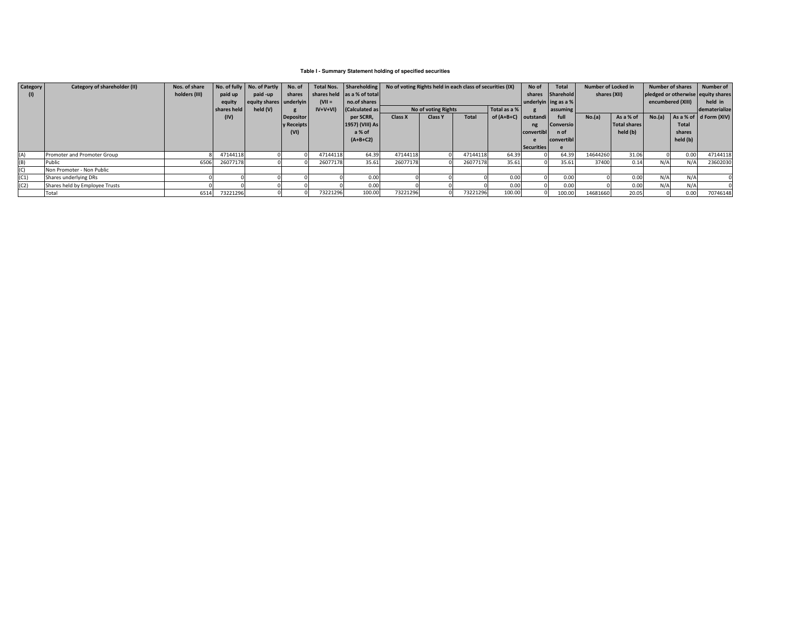# **Table I - Summary Statement holding of specified securities**

| <b>Category</b> | Category of shareholder (II)   | Nos. of share |             | No. of fully No. of Partly | No. of           |           | Total Nos. Shareholding     | No of voting Rights held in each class of securities (IX) |                     |          |                        | No of      | <b>Total</b>         | <b>Number of Locked in</b> |                                    | <b>Number of shares</b> |          | Number of                           |
|-----------------|--------------------------------|---------------|-------------|----------------------------|------------------|-----------|-----------------------------|-----------------------------------------------------------|---------------------|----------|------------------------|------------|----------------------|----------------------------|------------------------------------|-------------------------|----------|-------------------------------------|
|                 |                                | holders (III) | paid up     | paid -up                   | shares           |           | shares held as a % of total |                                                           |                     |          | shares                 | Sharehold  | shares (XII)         |                            | pledged or otherwise equity shares |                         |          |                                     |
|                 |                                |               | equity      | equity shares underlyin    |                  | $(VII =$  | no.of shares                |                                                           |                     |          |                        |            | underlyin ing as a % |                            |                                    | encumbered (XIII)       |          | held in                             |
|                 |                                |               | shares held | held $(V)$                 |                  | $IV+V+VI$ | <b>Calculated as</b>        |                                                           | No of voting Rights |          | Total as a %           |            | assuming             |                            |                                    |                         |          | dematerialize                       |
|                 |                                |               | (IV)        |                            | <b>Depositor</b> |           | per SCRR,                   | <b>Class X</b>                                            | <b>Class Y</b>      | Total    | of $(A+B+C)$ outstandi |            | full                 | No.(a)                     | As a % of                          | No.(a)                  |          | $As a % of \overline{G} from (XIV)$ |
|                 |                                |               |             |                            | y Receipts       |           | 1957) (VIII) As             |                                                           |                     |          |                        | ng         | Conversio            |                            | <b>Total shares</b>                |                         | Total    |                                     |
|                 |                                |               |             |                            | (VI)             |           | a % of                      |                                                           |                     |          |                        | convertibl | n of                 |                            | held (b)                           |                         | shares   |                                     |
|                 |                                |               |             |                            |                  |           | $(A+B+C2)$                  |                                                           |                     |          |                        |            | convertibl           |                            |                                    |                         | held (b) |                                     |
|                 |                                |               |             |                            |                  |           |                             |                                                           |                     |          |                        | Securities |                      |                            |                                    |                         |          |                                     |
| (A)             | Promoter and Promoter Group    |               | 47144118    |                            |                  | 47144118  | 64.39                       | 47144118                                                  |                     | 47144118 | 64.39                  |            | 64.39                | 14644260                   | 31.06                              |                         | 0.00     | 47144118                            |
| (B)             | Public                         | 6506          | 26077178    |                            |                  | 26077178  | 35.61                       | 26077178                                                  |                     | 26077178 | 35.61                  |            | 35.61                | 37400                      | 0.14                               | N/A                     | N/A      | 23602030                            |
| (C)             | Non Promoter - Non Public      |               |             |                            |                  |           |                             |                                                           |                     |          |                        |            |                      |                            |                                    |                         |          |                                     |
| (C1)            | Shares underlying DRs          |               |             |                            |                  |           | 0.00                        |                                                           |                     |          | 0.00                   |            | 0.00                 |                            | 0.00                               | N/A                     | N/A      |                                     |
| (C2)            | Shares held by Employee Trusts |               |             |                            |                  |           | 0.00                        |                                                           |                     |          | 0.00                   |            | 0.00                 |                            | 0.00                               | N/A                     | N/A      |                                     |
|                 | Total                          | 6514          | 73221296    |                            |                  | 73221296  | 100.00                      | 73221296                                                  |                     | 73221296 | 100.00                 |            | 100.00               | 14681660                   | 20.05                              |                         | 0.00     | 70746148                            |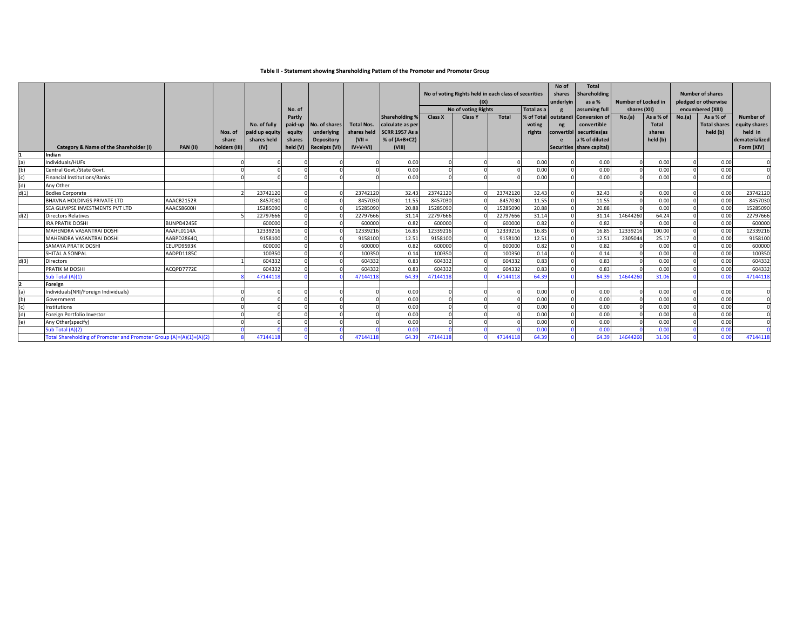# **Table II - Statement showing Shareholding Pattern of the Promoter and Promoter Group**

|      |                                                                     |                 | Nos. of                | No. of fully<br>paid up equity | No. of<br>Partly<br>paid-up<br>equity | No. of shares<br>underlying        | <b>Total Nos.</b><br>shares held | <b>Shareholding %</b><br>calculate as per<br><b>SCRR 1957 As a</b> | <b>Class X</b> | No of voting Rights held in each class of securities<br>(IX)<br>No of voting Rights<br><b>Class Y</b> | <b>Total</b> | Total as a<br>voting<br>rights | No of<br>shares<br>underlyin<br>% of Total outstandi<br>ng<br>convertibl | <b>Total</b><br>Shareholding<br>as a %<br>assuming full<br><b>Conversion of</b><br>convertible<br>securities (as | <b>Number of Locked in</b><br>shares (XII)<br>No.(a) | As a % of<br><b>Total</b><br>shares | No.(a) | <b>Number of shares</b><br>pledged or otherwise<br>encumbered (XIII)<br>As a % of<br><b>Total shares</b><br>held (b) | Number of<br>equity shares<br>held in |
|------|---------------------------------------------------------------------|-----------------|------------------------|--------------------------------|---------------------------------------|------------------------------------|----------------------------------|--------------------------------------------------------------------|----------------|-------------------------------------------------------------------------------------------------------|--------------|--------------------------------|--------------------------------------------------------------------------|------------------------------------------------------------------------------------------------------------------|------------------------------------------------------|-------------------------------------|--------|----------------------------------------------------------------------------------------------------------------------|---------------------------------------|
|      | Category & Name of the Shareholder (I)                              | <b>PAN (II)</b> | share<br>holders (III) | shares held<br>(IV)            | shares<br>held (V)                    | Depository<br><b>Receipts (VI)</b> | $(VII =$<br>$IV+V+VI$            | % of $(A+B+C2)$<br>(VIII)                                          |                |                                                                                                       |              |                                |                                                                          | a % of diluted<br>Securities share capital)                                                                      |                                                      | held (b)                            |        |                                                                                                                      | dematerialized<br>Form (XIV)          |
|      | Indian                                                              |                 |                        |                                |                                       |                                    |                                  |                                                                    |                |                                                                                                       |              |                                |                                                                          |                                                                                                                  |                                                      |                                     |        |                                                                                                                      |                                       |
| (a)  | Individuals/HUFs                                                    |                 |                        |                                |                                       |                                    |                                  | 0.00                                                               |                |                                                                                                       |              | 0.00                           |                                                                          | 0.00                                                                                                             |                                                      | 0.00                                |        | 0.00                                                                                                                 |                                       |
| (b)  | Central Govt./State Govt                                            |                 |                        |                                |                                       |                                    |                                  | 0.00                                                               |                |                                                                                                       |              | 0.00                           |                                                                          | 0.00                                                                                                             |                                                      | 0.00                                |        | 0.00                                                                                                                 | $\Omega$                              |
|      | Financial Institutions/Banks                                        |                 |                        |                                |                                       |                                    |                                  | 0.00                                                               |                |                                                                                                       |              | 0.00                           |                                                                          | 0.00                                                                                                             |                                                      | 0.00                                |        | 0.00                                                                                                                 |                                       |
| (d)  | Any Other                                                           |                 |                        |                                |                                       |                                    |                                  |                                                                    |                |                                                                                                       |              |                                |                                                                          |                                                                                                                  |                                                      |                                     |        |                                                                                                                      |                                       |
| d(1) | <b>Bodies Corporate</b>                                             |                 |                        | 23742120                       |                                       |                                    | 23742120                         | 32.43                                                              | 23742120       |                                                                                                       | 23742120     | 32.43                          |                                                                          | 32.43                                                                                                            |                                                      | 0.00                                |        | 0.00                                                                                                                 | 23742120                              |
|      | <b>BHAVNA HOLDINGS PRIVATE LTD</b>                                  | AAACB2152R      |                        | 8457030                        |                                       |                                    | 8457030                          | 11.55                                                              | 8457030        |                                                                                                       | 8457030      | 11.55                          |                                                                          | 11.55                                                                                                            |                                                      | 0.00                                |        | 0.00                                                                                                                 | 8457030                               |
|      | SEA GLIMPSE INVESTMENTS PVT LTD                                     | AAACS8600H      |                        | 15285090                       |                                       |                                    | 15285090                         | 20.88                                                              | 15285090       |                                                                                                       | 15285090     | 20.88                          |                                                                          | 20.88                                                                                                            |                                                      | 0.00                                |        | 0.00                                                                                                                 | 15285090                              |
| d(2) | <b>Directors Relatives</b>                                          |                 |                        | 2279766                        |                                       |                                    | 22797666                         | 31.14                                                              | 22797666       |                                                                                                       | 22797666     | 31.14                          |                                                                          | 31.14                                                                                                            | 14644260                                             | 64.24                               |        | 0.00                                                                                                                 | 22797666                              |
|      | <b>IRA PRATIK DOSHI</b>                                             | BUNPD4245E      |                        | 600000                         |                                       |                                    | 600000                           | 0.82                                                               | 600000         |                                                                                                       | 600000       | 0.82                           |                                                                          | 0.82                                                                                                             |                                                      | 0.00                                |        | 0.00                                                                                                                 | 600000                                |
|      | MAHENDRA VASANTRAI DOSHI                                            | AAAFL0114A      |                        | 1233921                        |                                       |                                    | 12339216                         | 16.85                                                              | 12339216       |                                                                                                       | 12339216     | 16.85                          |                                                                          | 16.85                                                                                                            | 12339216                                             | 100.00                              |        | 0.00                                                                                                                 | 12339216                              |
|      | MAHENDRA VASANTRAI DOSHI                                            | AABPD2864Q      |                        | 9158100                        |                                       |                                    | 9158100                          | 12.51                                                              | 9158100        |                                                                                                       | 9158100      | 12.51                          |                                                                          | 12.51                                                                                                            | 2305044                                              | 25.17                               |        | 0.00                                                                                                                 | 9158100                               |
|      | <b>SAMAYA PRATIK DOSHI</b>                                          | CEUPD9593K      |                        | 600000                         |                                       |                                    | 600000                           | 0.82                                                               | 600000         |                                                                                                       | 600000       | 0.82                           |                                                                          | 0.82                                                                                                             |                                                      | 0.00                                |        | 0.00                                                                                                                 | 600000                                |
|      | SHITAL A SONPAL                                                     | AADPD1185C      |                        | 100350                         |                                       |                                    | 100350                           | 0.14                                                               | 100350         |                                                                                                       | 100350       | 0.14                           |                                                                          | 0.14                                                                                                             |                                                      | 0.00                                |        | 0.00                                                                                                                 | 100350                                |
| d(3) | <b>Directors</b>                                                    |                 |                        | 604332                         |                                       |                                    | 604332                           | 0.83                                                               | 604332         |                                                                                                       | 604332       | 0.83                           |                                                                          | 0.83                                                                                                             |                                                      | 0.00                                |        | 0.00                                                                                                                 | 604332                                |
|      | PRATIK M DOSHI                                                      | ACQPD7772E      |                        | 604332                         |                                       |                                    | 604332                           | 0.83                                                               | 604332         |                                                                                                       | 604332       | 0.83                           |                                                                          | 0.83                                                                                                             |                                                      | 0.00                                |        | 0.00                                                                                                                 | 604332                                |
|      | Sub Total (A)(1)                                                    |                 |                        | 4714411                        |                                       |                                    | 47144118                         | 64.39                                                              | 4714411        |                                                                                                       | 47144118     | 64.39                          |                                                                          | 64.39                                                                                                            | 1464426                                              | 31.06                               |        | 0.00                                                                                                                 | 47144118                              |
|      | Foreign                                                             |                 |                        |                                |                                       |                                    |                                  |                                                                    |                |                                                                                                       |              |                                |                                                                          |                                                                                                                  |                                                      |                                     |        |                                                                                                                      |                                       |
| (a)  | Individuals(NRI/Foreign Individuals)                                |                 |                        |                                |                                       |                                    |                                  | 0.00                                                               |                |                                                                                                       |              | 0.00                           |                                                                          | 0.00                                                                                                             |                                                      | 0.00                                |        | 0.00                                                                                                                 | $\Omega$                              |
| (b)  | Government                                                          |                 |                        |                                |                                       |                                    |                                  | 0.00                                                               |                |                                                                                                       |              | 0.00                           |                                                                          | 0.00                                                                                                             |                                                      | 0.00                                |        | 0.00                                                                                                                 |                                       |
|      | Institutions                                                        |                 |                        |                                |                                       |                                    |                                  | 0.00                                                               |                |                                                                                                       |              | 0.00                           |                                                                          | 0.00                                                                                                             |                                                      | 0.00                                |        | 0.00                                                                                                                 |                                       |
| (d)  | Foreign Portfolio Investor                                          |                 |                        |                                |                                       |                                    |                                  | 0.00                                                               |                |                                                                                                       |              | 0.00                           |                                                                          | 0.00                                                                                                             |                                                      | 0.00                                |        | 0.00                                                                                                                 |                                       |
| (e)  | Any Other(specify)                                                  |                 |                        |                                |                                       |                                    |                                  | 0.00                                                               |                |                                                                                                       |              | 0.00                           |                                                                          | 0.00                                                                                                             |                                                      | 0.00                                |        | 0.00                                                                                                                 |                                       |
|      | Sub Total (A)(2)                                                    |                 |                        |                                |                                       |                                    |                                  | 0.00                                                               |                |                                                                                                       |              | 0.00                           |                                                                          | 0.00                                                                                                             |                                                      | 0.00                                |        | 0.00                                                                                                                 |                                       |
|      | Total Shareholding of Promoter and Promoter Group (A)=(A)(1)+(A)(2) |                 |                        | 4714411                        |                                       |                                    | 47144118                         | 64.39                                                              | 4714411        |                                                                                                       | 47144118     | 64.39                          |                                                                          | 64.39                                                                                                            | 1464426                                              | 31.06                               |        | 0.00                                                                                                                 | 47144118                              |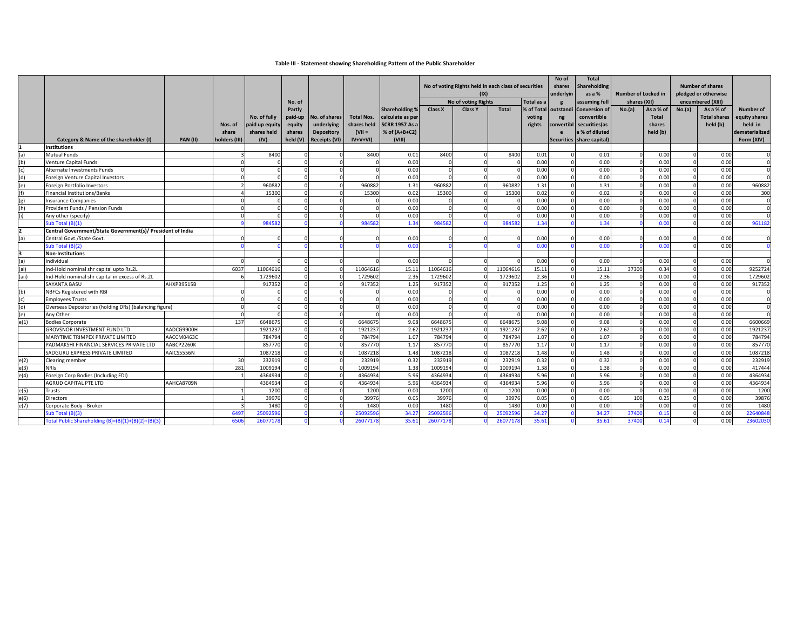# **Table III - Statement showing Shareholding Pattern of the Public Shareholder**

|       |                                                            |                 | Nos. of       | No. of fully<br>paid up equity | No. of<br>Partly<br>paid-up<br>equity | No. of shares<br>underlying | <b>Total Nos.</b><br>shares held | <b>Shareholding %</b><br>calculate as per<br><b>SCRR 1957 As a</b> | Class X | No of voting Rights held in each class of securities<br>(IX)<br>No of voting Rights<br><b>Class Y</b> | <b>Total</b> | Total as a<br>voting<br>rights | No of<br>shares<br>underlyin<br>g<br>% of Total outstandi<br>ng<br>convertibl | <b>Total</b><br><b>Shareholding</b><br>as a %<br>assuming full<br><b>Conversion of</b><br>convertible<br>securities(as | Number of Locked in<br>shares (XII)<br>No.(a) | As a % of<br><b>Total</b><br>shares | No.(a)   | <b>Number of shares</b><br>pledged or otherwise<br>encumbered (XIII)<br>As a % of<br><b>Total shares</b><br>held (b) | Number of<br>equity shares<br>held in |
|-------|------------------------------------------------------------|-----------------|---------------|--------------------------------|---------------------------------------|-----------------------------|----------------------------------|--------------------------------------------------------------------|---------|-------------------------------------------------------------------------------------------------------|--------------|--------------------------------|-------------------------------------------------------------------------------|------------------------------------------------------------------------------------------------------------------------|-----------------------------------------------|-------------------------------------|----------|----------------------------------------------------------------------------------------------------------------------|---------------------------------------|
|       |                                                            |                 | share         | shares held                    | shares                                | <b>Depository</b>           | $(VII =$                         | % of (A+B+C2)                                                      |         |                                                                                                       |              |                                |                                                                               | a % of diluted                                                                                                         |                                               | held (b)                            |          |                                                                                                                      | dematerialized                        |
|       | Category & Name of the shareholder (I)                     | <b>PAN (II)</b> | holders (III) | (IV)                           | held (V)                              | <b>Receipts (VI)</b>        | $IV+V+VI$                        | (VIII)                                                             |         |                                                                                                       |              |                                |                                                                               | Securities share capital)                                                                                              |                                               |                                     |          |                                                                                                                      | Form (XIV)                            |
|       | <b>Institutions</b>                                        |                 |               |                                |                                       |                             |                                  |                                                                    |         |                                                                                                       |              |                                |                                                                               |                                                                                                                        |                                               |                                     |          |                                                                                                                      |                                       |
| (a)   | <b>Mutual Funds</b>                                        |                 |               | 8400                           |                                       |                             | 8400                             | 0.01                                                               | 8400    | $\Omega$                                                                                              | 8400         | 0.01                           |                                                                               | 0.01                                                                                                                   |                                               | 0.00                                |          | 0.00                                                                                                                 |                                       |
| (b)   | <b>Venture Capital Funds</b>                               |                 |               |                                |                                       |                             |                                  | 0.00                                                               |         |                                                                                                       |              | 0.00                           |                                                                               | 0.00                                                                                                                   |                                               | 0.00                                |          | 0.00                                                                                                                 | $\Omega$                              |
| (c)   | Alternate Investments Funds                                |                 |               |                                |                                       |                             |                                  | 0.00                                                               |         | $\Omega$                                                                                              |              | 0.00                           |                                                                               | 0.00                                                                                                                   |                                               | 0.00                                |          | 0.00                                                                                                                 | $\Omega$                              |
| (d)   | Foreign Venture Capital Investors                          |                 |               |                                | $\Omega$                              | $\Omega$                    |                                  | 0.00                                                               |         | $\Omega$                                                                                              |              | 0.00                           |                                                                               | 0.00                                                                                                                   |                                               | 0.00                                |          | 0.00                                                                                                                 | $\Omega$                              |
| (e)   | Foreign Portfolio Investors                                |                 |               | 960882                         | $\Omega$                              | $\Omega$                    | 960882                           | 1.31                                                               | 96088   | $\Omega$                                                                                              | 960882       | 1.31                           |                                                                               | 1.31                                                                                                                   |                                               | 0.00                                | $\Omega$ | 0.00                                                                                                                 | 960882                                |
|       | <b>Financial Institutions/Banks</b>                        |                 |               | 15300                          |                                       |                             | 15300                            | 0.02                                                               | 15300   |                                                                                                       | 15300        | 0.02                           |                                                                               | 0.02                                                                                                                   |                                               | 0.00                                |          | 0.00                                                                                                                 | 300                                   |
| (g)   | <b>Insurance Companies</b>                                 |                 |               |                                |                                       |                             |                                  | 0.00                                                               |         |                                                                                                       |              | 0.00                           |                                                                               | 0.00                                                                                                                   |                                               | 0.00                                |          | 0.00                                                                                                                 | $\Omega$                              |
| (h)   | Provident Funds / Pension Funds                            |                 | $\Omega$      |                                | $\Omega$                              | $\Omega$                    |                                  | 0.00                                                               |         | $\Omega$                                                                                              |              | 0.00                           |                                                                               | 0.00                                                                                                                   |                                               | 0.00                                |          | 0.00                                                                                                                 | $\Omega$                              |
| (i)   | Any other (specify)                                        |                 | $\Omega$      |                                | $\Omega$                              | $\Omega$                    |                                  | 0.00                                                               |         | $\Omega$                                                                                              |              | 0.00                           |                                                                               | 0.00                                                                                                                   |                                               | 0.00                                |          | 0.00                                                                                                                 | $\Omega$                              |
|       | Sub Total (B)(1)                                           |                 |               | 98458                          |                                       |                             | 984582                           | 1.34                                                               | 98458   |                                                                                                       | 984582       | 1.34                           |                                                                               | 1.34                                                                                                                   |                                               | 0.00                                |          | 0.00                                                                                                                 | 961182                                |
|       | Central Government/State Government(s)/ President of India |                 |               |                                |                                       |                             |                                  |                                                                    |         |                                                                                                       |              |                                |                                                                               |                                                                                                                        |                                               |                                     |          |                                                                                                                      |                                       |
| (a)   | Central Govt./State Govt.                                  |                 |               |                                |                                       |                             |                                  | 0.00                                                               |         |                                                                                                       |              | 0.00                           |                                                                               | 0.00                                                                                                                   |                                               | 0.00                                |          | 0.00                                                                                                                 | $\Omega$                              |
|       | Sub Total (B)(2)                                           |                 |               |                                |                                       |                             |                                  | 0.00                                                               |         |                                                                                                       |              | 0.00                           |                                                                               | 0.00                                                                                                                   |                                               | 0.00                                |          | 0.00                                                                                                                 |                                       |
|       | <b>Non-Institutions</b>                                    |                 |               |                                |                                       |                             |                                  |                                                                    |         |                                                                                                       |              |                                |                                                                               |                                                                                                                        |                                               |                                     |          |                                                                                                                      |                                       |
| (a)   | Individual                                                 |                 |               |                                |                                       |                             |                                  | 0.00                                                               |         |                                                                                                       |              | 0.00                           |                                                                               | 0.00                                                                                                                   |                                               | 0.00                                |          | 0.00                                                                                                                 | $\Omega$                              |
| (ai)  | Ind-Hold nominal shr capital upto Rs.2L                    |                 | 6037          | 1106461                        |                                       |                             | 11064616                         | 15.11                                                              | 1106461 |                                                                                                       | 11064616     | 15.11                          |                                                                               | 15.11                                                                                                                  | 37300                                         | 0.34                                |          | 0.00                                                                                                                 | 9252724                               |
| (aii) | Ind-Hold nominal shr capital in excess of Rs.2L            |                 |               | 1729602                        |                                       |                             | 1729602                          | 2.36                                                               | 1729602 |                                                                                                       | 1729602      | 2.36                           |                                                                               | 2.36                                                                                                                   |                                               | 0.00                                |          | 0.00                                                                                                                 | 1729602                               |
|       | <b>SAYANTA BASU</b>                                        | AHXPB9515B      |               | 917352                         | $\Omega$                              |                             | 917352                           | 1.25                                                               | 917352  | $\Omega$                                                                                              | 917352       | 1.25                           |                                                                               | 1.25                                                                                                                   |                                               | 0.00                                |          | 0.00                                                                                                                 | 917352                                |
| (b)   | NBFCs Registered with RBI                                  |                 |               |                                |                                       |                             |                                  | 0.00                                                               |         |                                                                                                       |              | 0.00                           |                                                                               | 0.00                                                                                                                   |                                               | 0.00                                |          | 0.00                                                                                                                 |                                       |
| (c)   | <b>Employees Trusts</b>                                    |                 |               |                                |                                       |                             |                                  | 0.00                                                               |         |                                                                                                       |              | 0.00                           |                                                                               | 0.00                                                                                                                   |                                               | 0.00                                |          | 0.00                                                                                                                 | $\Omega$                              |
| (d)   | Overseas Depositories (holding DRs) (balancing figure)     |                 | $\Omega$      |                                | $\Omega$                              |                             |                                  | 0.00                                                               |         | $\Omega$                                                                                              |              | 0.00                           |                                                                               | 0.00                                                                                                                   |                                               | 0.00                                |          | 0.00                                                                                                                 | $\Omega$                              |
| (e)   | Any Other                                                  |                 | $\Omega$      |                                | $\Omega$                              |                             |                                  | 0.00                                                               |         | $\Omega$                                                                                              |              | 0.00                           |                                                                               | 0.00                                                                                                                   |                                               | 0.00                                |          | 0.00                                                                                                                 | $\Omega$                              |
| e(1)  | <b>Bodies Corporate</b>                                    |                 | 137           | 664867                         |                                       |                             | 6648675                          | 9.08                                                               | 664867  |                                                                                                       | 6648675      | 9.08                           |                                                                               | 9.08                                                                                                                   |                                               | 0.00                                |          | 0.00                                                                                                                 | 6600669                               |
|       | GROVSNOR INVESTMENT FUND LTD                               | AADCG9900H      |               | 192123                         |                                       |                             | 1921237                          | 2.62                                                               | 192123  |                                                                                                       | 1921237      | 2.62                           |                                                                               | 2.62                                                                                                                   |                                               | 0.00                                |          | 0.00                                                                                                                 | 1921237                               |
|       | MARYTIME TRIMPEX PRIVATE LIMITED                           | AACCM0463C      |               | 784794                         | $\Omega$                              |                             | 784794                           | 1.07                                                               | 784794  | $\Omega$                                                                                              | 784794       | 1.07                           |                                                                               | 1.07                                                                                                                   |                                               | 0.00                                |          | 0.00                                                                                                                 | 784794                                |
|       | PADMAKSHI FINANCIAL SERVICES PRIVATE LTD                   | AABCP2260K      |               | 85777                          | $\Omega$                              |                             | 857770                           | 1.17                                                               | 85777   | $\Omega$                                                                                              | 857770       | 1.17                           |                                                                               | 1.17                                                                                                                   |                                               | 0.00                                |          | 0.00                                                                                                                 | 857770                                |
|       | SADGURU EXPRESS PRIVATE LIMITED                            | AAICS5556N      |               | 1087218                        | $\Omega$                              | $\Omega$                    | 1087218                          | 1.48                                                               | 1087218 | $\Omega$                                                                                              | 1087218      | 1.48                           |                                                                               | 1.48                                                                                                                   |                                               | 0.00                                | $\Omega$ | 0.00                                                                                                                 | 1087218                               |
| e(2)  | Clearing member                                            |                 | 30            | 232919                         |                                       |                             | 232919                           | 0.32                                                               | 23291   |                                                                                                       | 232919       | 0.32                           |                                                                               | 0.32                                                                                                                   |                                               | 0.00                                |          | 0.00                                                                                                                 | 232919                                |
| e(3)  | <b>NRIS</b>                                                |                 | 281           | 1009194                        | $\Omega$                              |                             | 1009194                          | 1.38                                                               | 1009194 | $\Omega$                                                                                              | 1009194      | 1.38                           |                                                                               | 1.38                                                                                                                   |                                               | 0.00                                |          | 0.00                                                                                                                 | 417444                                |
| e(4)  | Foreign Corp Bodies (Including FDI)                        |                 |               | 4364934                        | $\Omega$                              |                             | 4364934                          | 5.96                                                               | 436493  |                                                                                                       | 4364934      | 5.96                           |                                                                               | 5.96                                                                                                                   |                                               | 0.00                                |          | 0.00                                                                                                                 | 4364934                               |
|       | AGRUD CAPITAL PTE LTD                                      | AAHCA8709N      |               | 4364934                        | $\Omega$                              |                             | 4364934                          | 5.96                                                               | 436493  |                                                                                                       | 4364934      | 5.96                           |                                                                               | 5.96                                                                                                                   |                                               | 0.00                                |          | 0.00                                                                                                                 | 4364934                               |
| e(5)  | Trusts                                                     |                 |               | 1200                           |                                       |                             | 1200                             | 0.00                                                               | 1200    |                                                                                                       | 1200         | 0.00                           |                                                                               | 0.00                                                                                                                   |                                               | 0.00                                |          | 0.00                                                                                                                 | 1200                                  |
| e(6)  | <b>Directors</b>                                           |                 |               | 39976                          |                                       |                             | 39976                            | 0.05                                                               | 39976   |                                                                                                       | 39976        | 0.05                           |                                                                               | 0.05                                                                                                                   | 100                                           | 0.25                                |          | 0.00                                                                                                                 | 39876                                 |
| e(7)  | Corporate Body - Broker                                    |                 |               | 1480                           |                                       |                             | 1480                             | 0.00                                                               | 1480    |                                                                                                       | 1480         | 0.00                           |                                                                               | 0.00                                                                                                                   |                                               | 0.00                                |          | 0.00                                                                                                                 | 1480                                  |
|       | Sub Total (B)(3)                                           |                 | 6497          | 2509259                        |                                       |                             | 2509259                          | 34.27                                                              | 2509259 |                                                                                                       | 2509259      | 34.27                          |                                                                               | 34.27                                                                                                                  | 37400                                         | 0.15                                |          | 0.00                                                                                                                 | 22640848                              |
|       | Total Public Shareholding (B)=(B)(1)+(B)(2)+(B)(3)         |                 | 6506          | 2607717                        |                                       |                             | 2607717                          | 35.61                                                              | 2607717 |                                                                                                       | 2607717      | 35.63                          |                                                                               | 35.61                                                                                                                  | 37400                                         | 0.14                                |          | 0.00                                                                                                                 | 23602030                              |